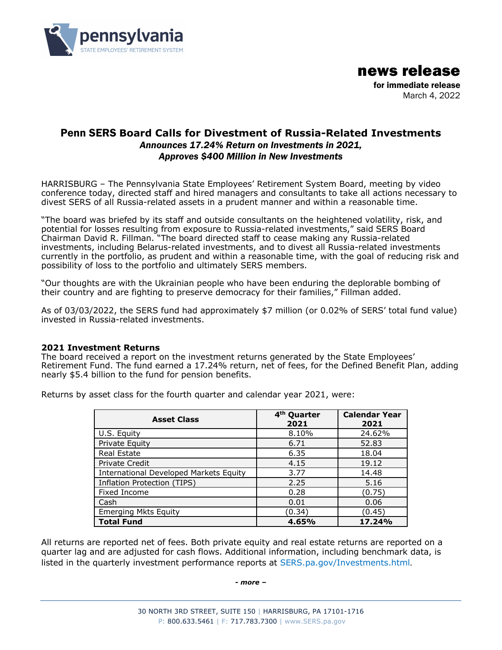

news release for immediate release March 4, 2022

# Penn SERS **Board Calls for Divestment of Russia-Related Investments**  *Announces 17.24% Return on Investments in 2021, Approves \$400 Million in New Investments*

HARRISBURG – The Pennsylvania State Employees' Retirement System Board, meeting by video conference today, directed staff and hired managers and consultants to take all actions necessary to divest SERS of all Russia-related assets in a prudent manner and within a reasonable time.

"The board was briefed by its staff and outside consultants on the heightened volatility, risk, and potential for losses resulting from exposure to Russia-related investments," said SERS Board Chairman David R. Fillman. "The board directed staff to cease making any Russia-related investments, including Belarus-related investments, and to divest all Russia-related investments currently in the portfolio, as prudent and within a reasonable time, with the goal of reducing risk and possibility of loss to the portfolio and ultimately SERS members.

"Our thoughts are with the Ukrainian people who have been enduring the deplorable bombing of their country and are fighting to preserve democracy for their families," Fillman added.

As of 03/03/2022, the SERS fund had approximately \$7 million (or 0.02% of SERS' total fund value) invested in Russia-related investments.

## **2021 Investment Returns**

The board received a report on the investment returns generated by the State Employees' Retirement Fund. The fund earned a 17.24% return, net of fees, for the Defined Benefit Plan, adding nearly \$5.4 billion to the fund for pension benefits.

| <b>Asset Class</b>                            | 4 <sup>th</sup> Quarter<br>2021 | <b>Calendar Year</b><br>2021 |
|-----------------------------------------------|---------------------------------|------------------------------|
| U.S. Equity                                   | 8.10%                           | 24.62%                       |
| Private Equity                                | 6.71                            | 52.83                        |
| Real Estate                                   | 6.35                            | 18.04                        |
| Private Credit                                | 4.15                            | 19.12                        |
| <b>International Developed Markets Equity</b> | 3.77                            | 14.48                        |
| <b>Inflation Protection (TIPS)</b>            | 2.25                            | 5.16                         |
| Fixed Income                                  | 0.28                            | (0.75)                       |
| Cash                                          | 0.01                            | 0.06                         |
| <b>Emerging Mkts Equity</b>                   | (0.34)                          | (0.45)                       |
| <b>Total Fund</b>                             | 4.65%                           | 17.24%                       |

Returns by asset class for the fourth quarter and calendar year 2021, were:

All returns are reported net of fees. Both private equity and real estate returns are reported on a quarter lag and are adjusted for cash flows. Additional information, including benchmark data, is listed in the quarterly investment performance reports at [SERS.pa.gov/Investments.html](https://sers.pa.gov/Investments.html).

#### *- more –*